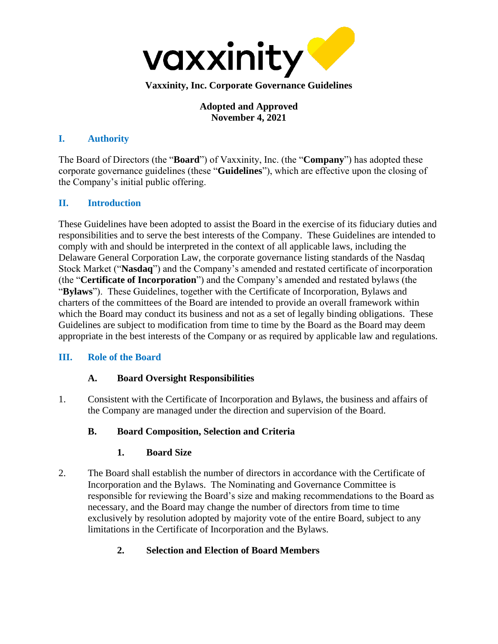

**Adopted and Approved November 4, 2021**

### **I. Authority**

The Board of Directors (the "**Board**") of Vaxxinity, Inc. (the "**Company**") has adopted these corporate governance guidelines (these "**Guidelines**"), which are effective upon the closing of the Company's initial public offering.

## **II. Introduction**

These Guidelines have been adopted to assist the Board in the exercise of its fiduciary duties and responsibilities and to serve the best interests of the Company. These Guidelines are intended to comply with and should be interpreted in the context of all applicable laws, including the Delaware General Corporation Law, the corporate governance listing standards of the Nasdaq Stock Market ("**Nasdaq**") and the Company's amended and restated certificate of incorporation (the "**Certificate of Incorporation**") and the Company's amended and restated bylaws (the "**Bylaws**"). These Guidelines, together with the Certificate of Incorporation, Bylaws and charters of the committees of the Board are intended to provide an overall framework within which the Board may conduct its business and not as a set of legally binding obligations. These Guidelines are subject to modification from time to time by the Board as the Board may deem appropriate in the best interests of the Company or as required by applicable law and regulations.

### **III. Role of the Board**

### **A. Board Oversight Responsibilities**

1. Consistent with the Certificate of Incorporation and Bylaws, the business and affairs of the Company are managed under the direction and supervision of the Board.

### **B. Board Composition, Selection and Criteria**

### **1. Board Size**

2. The Board shall establish the number of directors in accordance with the Certificate of Incorporation and the Bylaws. The Nominating and Governance Committee is responsible for reviewing the Board's size and making recommendations to the Board as necessary, and the Board may change the number of directors from time to time exclusively by resolution adopted by majority vote of the entire Board, subject to any limitations in the Certificate of Incorporation and the Bylaws.

## **2. Selection and Election of Board Members**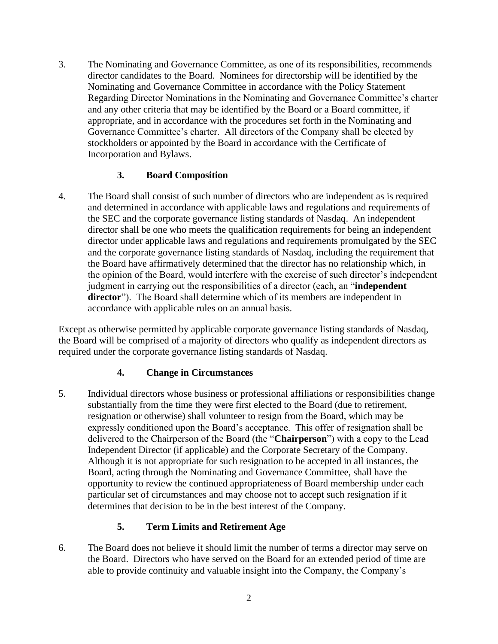3. The Nominating and Governance Committee, as one of its responsibilities, recommends director candidates to the Board. Nominees for directorship will be identified by the Nominating and Governance Committee in accordance with the Policy Statement Regarding Director Nominations in the Nominating and Governance Committee's charter and any other criteria that may be identified by the Board or a Board committee, if appropriate, and in accordance with the procedures set forth in the Nominating and Governance Committee's charter. All directors of the Company shall be elected by stockholders or appointed by the Board in accordance with the Certificate of Incorporation and Bylaws.

### **3. Board Composition**

4. The Board shall consist of such number of directors who are independent as is required and determined in accordance with applicable laws and regulations and requirements of the SEC and the corporate governance listing standards of Nasdaq. An independent director shall be one who meets the qualification requirements for being an independent director under applicable laws and regulations and requirements promulgated by the SEC and the corporate governance listing standards of Nasdaq, including the requirement that the Board have affirmatively determined that the director has no relationship which, in the opinion of the Board, would interfere with the exercise of such director's independent judgment in carrying out the responsibilities of a director (each, an "**independent director**"). The Board shall determine which of its members are independent in accordance with applicable rules on an annual basis.

Except as otherwise permitted by applicable corporate governance listing standards of Nasdaq, the Board will be comprised of a majority of directors who qualify as independent directors as required under the corporate governance listing standards of Nasdaq.

### **4. Change in Circumstances**

5. Individual directors whose business or professional affiliations or responsibilities change substantially from the time they were first elected to the Board (due to retirement, resignation or otherwise) shall volunteer to resign from the Board, which may be expressly conditioned upon the Board's acceptance. This offer of resignation shall be delivered to the Chairperson of the Board (the "**Chairperson**") with a copy to the Lead Independent Director (if applicable) and the Corporate Secretary of the Company. Although it is not appropriate for such resignation to be accepted in all instances, the Board, acting through the Nominating and Governance Committee, shall have the opportunity to review the continued appropriateness of Board membership under each particular set of circumstances and may choose not to accept such resignation if it determines that decision to be in the best interest of the Company.

### **5. Term Limits and Retirement Age**

6. The Board does not believe it should limit the number of terms a director may serve on the Board. Directors who have served on the Board for an extended period of time are able to provide continuity and valuable insight into the Company, the Company's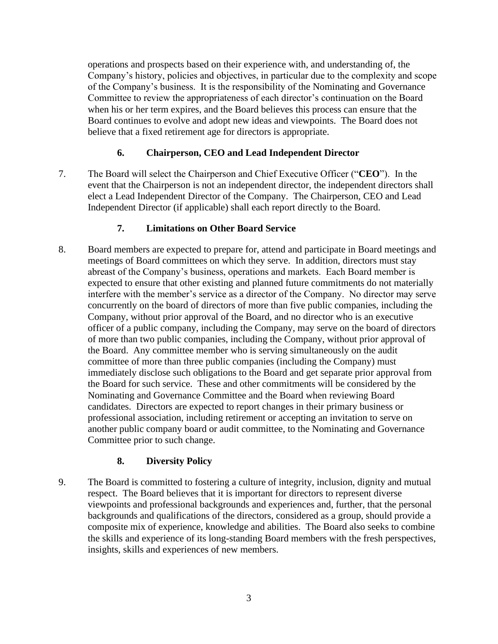operations and prospects based on their experience with, and understanding of, the Company's history, policies and objectives, in particular due to the complexity and scope of the Company's business. It is the responsibility of the Nominating and Governance Committee to review the appropriateness of each director's continuation on the Board when his or her term expires, and the Board believes this process can ensure that the Board continues to evolve and adopt new ideas and viewpoints. The Board does not believe that a fixed retirement age for directors is appropriate.

### **6. Chairperson, CEO and Lead Independent Director**

7. The Board will select the Chairperson and Chief Executive Officer ("**CEO**"). In the event that the Chairperson is not an independent director, the independent directors shall elect a Lead Independent Director of the Company. The Chairperson, CEO and Lead Independent Director (if applicable) shall each report directly to the Board.

### **7. Limitations on Other Board Service**

8. Board members are expected to prepare for, attend and participate in Board meetings and meetings of Board committees on which they serve. In addition, directors must stay abreast of the Company's business, operations and markets. Each Board member is expected to ensure that other existing and planned future commitments do not materially interfere with the member's service as a director of the Company. No director may serve concurrently on the board of directors of more than five public companies, including the Company, without prior approval of the Board, and no director who is an executive officer of a public company, including the Company, may serve on the board of directors of more than two public companies, including the Company, without prior approval of the Board. Any committee member who is serving simultaneously on the audit committee of more than three public companies (including the Company) must immediately disclose such obligations to the Board and get separate prior approval from the Board for such service. These and other commitments will be considered by the Nominating and Governance Committee and the Board when reviewing Board candidates. Directors are expected to report changes in their primary business or professional association, including retirement or accepting an invitation to serve on another public company board or audit committee, to the Nominating and Governance Committee prior to such change.

### **8. Diversity Policy**

9. The Board is committed to fostering a culture of integrity, inclusion, dignity and mutual respect. The Board believes that it is important for directors to represent diverse viewpoints and professional backgrounds and experiences and, further, that the personal backgrounds and qualifications of the directors, considered as a group, should provide a composite mix of experience, knowledge and abilities. The Board also seeks to combine the skills and experience of its long-standing Board members with the fresh perspectives, insights, skills and experiences of new members.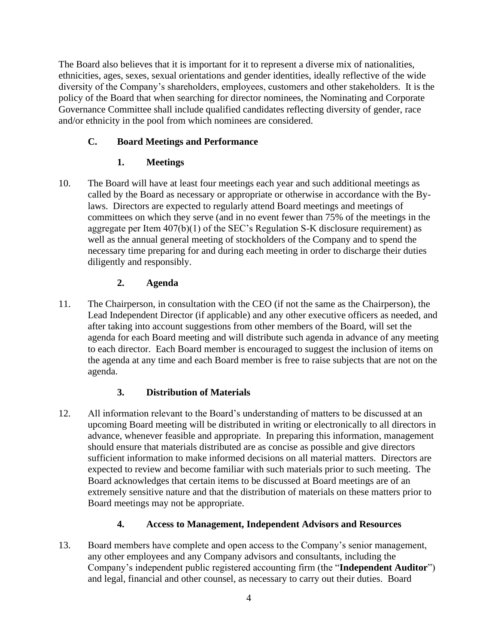The Board also believes that it is important for it to represent a diverse mix of nationalities, ethnicities, ages, sexes, sexual orientations and gender identities, ideally reflective of the wide diversity of the Company's shareholders, employees, customers and other stakeholders. It is the policy of the Board that when searching for director nominees, the Nominating and Corporate Governance Committee shall include qualified candidates reflecting diversity of gender, race and/or ethnicity in the pool from which nominees are considered.

## **C. Board Meetings and Performance**

## **1. Meetings**

10. The Board will have at least four meetings each year and such additional meetings as called by the Board as necessary or appropriate or otherwise in accordance with the Bylaws. Directors are expected to regularly attend Board meetings and meetings of committees on which they serve (and in no event fewer than 75% of the meetings in the aggregate per Item 407(b)(1) of the SEC's Regulation S-K disclosure requirement) as well as the annual general meeting of stockholders of the Company and to spend the necessary time preparing for and during each meeting in order to discharge their duties diligently and responsibly.

## **2. Agenda**

11. The Chairperson, in consultation with the CEO (if not the same as the Chairperson), the Lead Independent Director (if applicable) and any other executive officers as needed, and after taking into account suggestions from other members of the Board, will set the agenda for each Board meeting and will distribute such agenda in advance of any meeting to each director. Each Board member is encouraged to suggest the inclusion of items on the agenda at any time and each Board member is free to raise subjects that are not on the agenda.

## **3. Distribution of Materials**

12. All information relevant to the Board's understanding of matters to be discussed at an upcoming Board meeting will be distributed in writing or electronically to all directors in advance, whenever feasible and appropriate. In preparing this information, management should ensure that materials distributed are as concise as possible and give directors sufficient information to make informed decisions on all material matters. Directors are expected to review and become familiar with such materials prior to such meeting. The Board acknowledges that certain items to be discussed at Board meetings are of an extremely sensitive nature and that the distribution of materials on these matters prior to Board meetings may not be appropriate.

### **4. Access to Management, Independent Advisors and Resources**

13. Board members have complete and open access to the Company's senior management, any other employees and any Company advisors and consultants, including the Company's independent public registered accounting firm (the "**Independent Auditor**") and legal, financial and other counsel, as necessary to carry out their duties. Board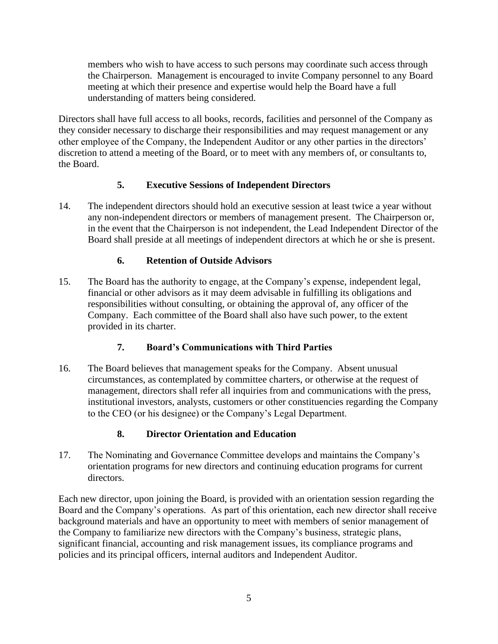members who wish to have access to such persons may coordinate such access through the Chairperson. Management is encouraged to invite Company personnel to any Board meeting at which their presence and expertise would help the Board have a full understanding of matters being considered.

Directors shall have full access to all books, records, facilities and personnel of the Company as they consider necessary to discharge their responsibilities and may request management or any other employee of the Company, the Independent Auditor or any other parties in the directors' discretion to attend a meeting of the Board, or to meet with any members of, or consultants to, the Board.

### **5. Executive Sessions of Independent Directors**

14. The independent directors should hold an executive session at least twice a year without any non-independent directors or members of management present. The Chairperson or, in the event that the Chairperson is not independent, the Lead Independent Director of the Board shall preside at all meetings of independent directors at which he or she is present.

## **6. Retention of Outside Advisors**

15. The Board has the authority to engage, at the Company's expense, independent legal, financial or other advisors as it may deem advisable in fulfilling its obligations and responsibilities without consulting, or obtaining the approval of, any officer of the Company. Each committee of the Board shall also have such power, to the extent provided in its charter.

## **7. Board's Communications with Third Parties**

16. The Board believes that management speaks for the Company. Absent unusual circumstances, as contemplated by committee charters, or otherwise at the request of management, directors shall refer all inquiries from and communications with the press, institutional investors, analysts, customers or other constituencies regarding the Company to the CEO (or his designee) or the Company's Legal Department.

## **8. Director Orientation and Education**

17. The Nominating and Governance Committee develops and maintains the Company's orientation programs for new directors and continuing education programs for current directors.

Each new director, upon joining the Board, is provided with an orientation session regarding the Board and the Company's operations. As part of this orientation, each new director shall receive background materials and have an opportunity to meet with members of senior management of the Company to familiarize new directors with the Company's business, strategic plans, significant financial, accounting and risk management issues, its compliance programs and policies and its principal officers, internal auditors and Independent Auditor.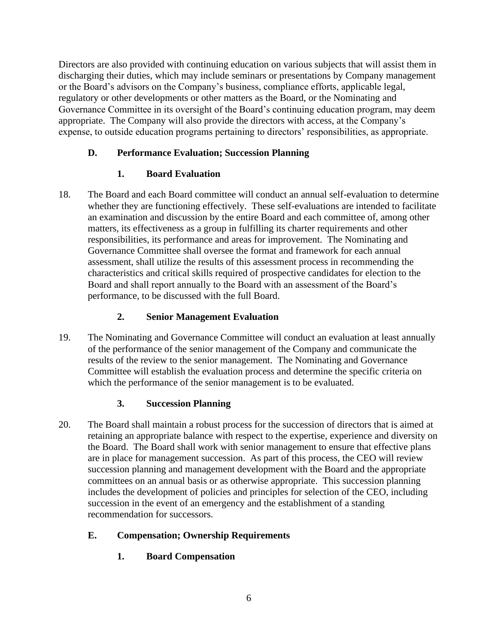Directors are also provided with continuing education on various subjects that will assist them in discharging their duties, which may include seminars or presentations by Company management or the Board's advisors on the Company's business, compliance efforts, applicable legal, regulatory or other developments or other matters as the Board, or the Nominating and Governance Committee in its oversight of the Board's continuing education program, may deem appropriate. The Company will also provide the directors with access, at the Company's expense, to outside education programs pertaining to directors' responsibilities, as appropriate.

## **D. Performance Evaluation; Succession Planning**

# **1. Board Evaluation**

18. The Board and each Board committee will conduct an annual self-evaluation to determine whether they are functioning effectively. These self-evaluations are intended to facilitate an examination and discussion by the entire Board and each committee of, among other matters, its effectiveness as a group in fulfilling its charter requirements and other responsibilities, its performance and areas for improvement. The Nominating and Governance Committee shall oversee the format and framework for each annual assessment, shall utilize the results of this assessment process in recommending the characteristics and critical skills required of prospective candidates for election to the Board and shall report annually to the Board with an assessment of the Board's performance, to be discussed with the full Board.

# **2. Senior Management Evaluation**

19. The Nominating and Governance Committee will conduct an evaluation at least annually of the performance of the senior management of the Company and communicate the results of the review to the senior management. The Nominating and Governance Committee will establish the evaluation process and determine the specific criteria on which the performance of the senior management is to be evaluated.

## **3. Succession Planning**

20. The Board shall maintain a robust process for the succession of directors that is aimed at retaining an appropriate balance with respect to the expertise, experience and diversity on the Board. The Board shall work with senior management to ensure that effective plans are in place for management succession. As part of this process, the CEO will review succession planning and management development with the Board and the appropriate committees on an annual basis or as otherwise appropriate. This succession planning includes the development of policies and principles for selection of the CEO, including succession in the event of an emergency and the establishment of a standing recommendation for successors.

# **E. Compensation; Ownership Requirements**

**1. Board Compensation**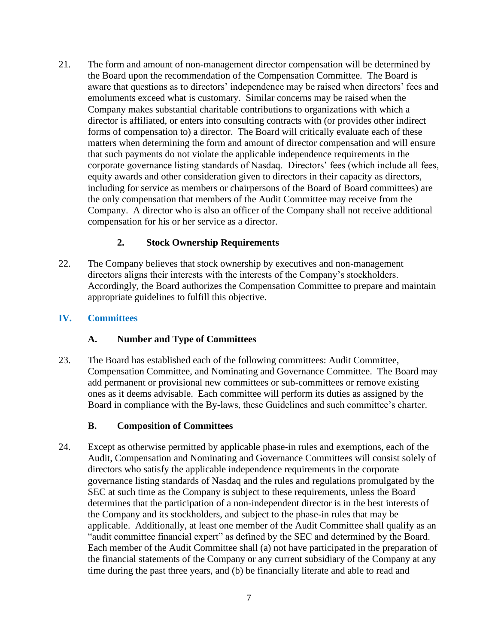21. The form and amount of non-management director compensation will be determined by the Board upon the recommendation of the Compensation Committee. The Board is aware that questions as to directors' independence may be raised when directors' fees and emoluments exceed what is customary. Similar concerns may be raised when the Company makes substantial charitable contributions to organizations with which a director is affiliated, or enters into consulting contracts with (or provides other indirect forms of compensation to) a director. The Board will critically evaluate each of these matters when determining the form and amount of director compensation and will ensure that such payments do not violate the applicable independence requirements in the corporate governance listing standards of Nasdaq. Directors' fees (which include all fees, equity awards and other consideration given to directors in their capacity as directors, including for service as members or chairpersons of the Board of Board committees) are the only compensation that members of the Audit Committee may receive from the Company. A director who is also an officer of the Company shall not receive additional compensation for his or her service as a director.

### **2. Stock Ownership Requirements**

22. The Company believes that stock ownership by executives and non-management directors aligns their interests with the interests of the Company's stockholders. Accordingly, the Board authorizes the Compensation Committee to prepare and maintain appropriate guidelines to fulfill this objective.

#### **IV. Committees**

### **A. Number and Type of Committees**

23. The Board has established each of the following committees: Audit Committee, Compensation Committee, and Nominating and Governance Committee. The Board may add permanent or provisional new committees or sub-committees or remove existing ones as it deems advisable. Each committee will perform its duties as assigned by the Board in compliance with the By-laws, these Guidelines and such committee's charter.

#### **B. Composition of Committees**

24. Except as otherwise permitted by applicable phase-in rules and exemptions, each of the Audit, Compensation and Nominating and Governance Committees will consist solely of directors who satisfy the applicable independence requirements in the corporate governance listing standards of Nasdaq and the rules and regulations promulgated by the SEC at such time as the Company is subject to these requirements, unless the Board determines that the participation of a non-independent director is in the best interests of the Company and its stockholders, and subject to the phase-in rules that may be applicable. Additionally, at least one member of the Audit Committee shall qualify as an "audit committee financial expert" as defined by the SEC and determined by the Board. Each member of the Audit Committee shall (a) not have participated in the preparation of the financial statements of the Company or any current subsidiary of the Company at any time during the past three years, and (b) be financially literate and able to read and